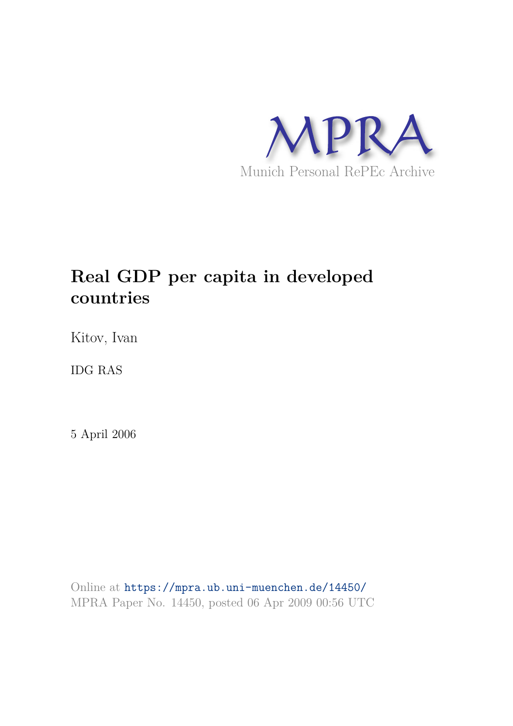

# **Real GDP per capita in developed countries**

Kitov, Ivan

IDG RAS

5 April 2006

Online at https://mpra.ub.uni-muenchen.de/14450/ MPRA Paper No. 14450, posted 06 Apr 2009 00:56 UTC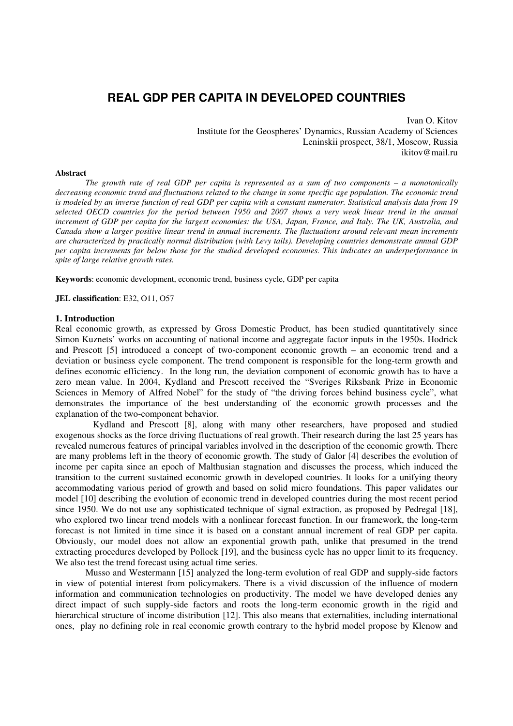# **REAL GDP PER CAPITA IN DEVELOPED COUNTRIES**

Ivan O. Kitov Institute for the Geospheres' Dynamics, Russian Academy of Sciences Leninskii prospect, 38/1, Moscow, Russia ikitov@mail.ru

#### **Abstract**

*The growth rate of real GDP per capita is represented as a sum of two components – a monotonically decreasing economic trend and fluctuations related to the change in some specific age population. The economic trend is modeled by an inverse function of real GDP per capita with a constant numerator. Statistical analysis data from 19 selected OECD countries for the period between 1950 and 2007 shows a very weak linear trend in the annual*  increment of GDP per capita for the largest economies: the USA, Japan, France, and Italy. The UK, Australia, and *Canada show a larger positive linear trend in annual increments. The fluctuations around relevant mean increments are characterized by practically normal distribution (with Levy tails). Developing countries demonstrate annual GDP per capita increments far below those for the studied developed economies. This indicates an underperformance in spite of large relative growth rates.* 

**Keywords**: economic development, economic trend, business cycle, GDP per capita

**JEL classification**: E32, O11, O57

# **1. Introduction**

Real economic growth, as expressed by Gross Domestic Product, has been studied quantitatively since Simon Kuznets' works on accounting of national income and aggregate factor inputs in the 1950s. Hodrick and Prescott [5] introduced a concept of two-component economic growth – an economic trend and a deviation or business cycle component. The trend component is responsible for the long-term growth and defines economic efficiency. In the long run, the deviation component of economic growth has to have a zero mean value. In 2004, Kydland and Prescott received the "Sveriges Riksbank Prize in Economic Sciences in Memory of Alfred Nobel" for the study of "the driving forces behind business cycle", what demonstrates the importance of the best understanding of the economic growth processes and the explanation of the two-component behavior.

 Kydland and Prescott [8], along with many other researchers, have proposed and studied exogenous shocks as the force driving fluctuations of real growth. Their research during the last 25 years has revealed numerous features of principal variables involved in the description of the economic growth. There are many problems left in the theory of economic growth. The study of Galor [4] describes the evolution of income per capita since an epoch of Malthusian stagnation and discusses the process, which induced the transition to the current sustained economic growth in developed countries. It looks for a unifying theory accommodating various period of growth and based on solid micro foundations. This paper validates our model [10] describing the evolution of economic trend in developed countries during the most recent period since 1950. We do not use any sophisticated technique of signal extraction, as proposed by Pedregal [18], who explored two linear trend models with a nonlinear forecast function. In our framework, the long-term forecast is not limited in time since it is based on a constant annual increment of real GDP per capita. Obviously, our model does not allow an exponential growth path, unlike that presumed in the trend extracting procedures developed by Pollock [19], and the business cycle has no upper limit to its frequency. We also test the trend forecast using actual time series.

Musso and Westermann [15] analyzed the long-term evolution of real GDP and supply-side factors in view of potential interest from policymakers. There is a vivid discussion of the influence of modern information and communication technologies on productivity. The model we have developed denies any direct impact of such supply-side factors and roots the long-term economic growth in the rigid and hierarchical structure of income distribution [12]. This also means that externalities, including international ones, play no defining role in real economic growth contrary to the hybrid model propose by Klenow and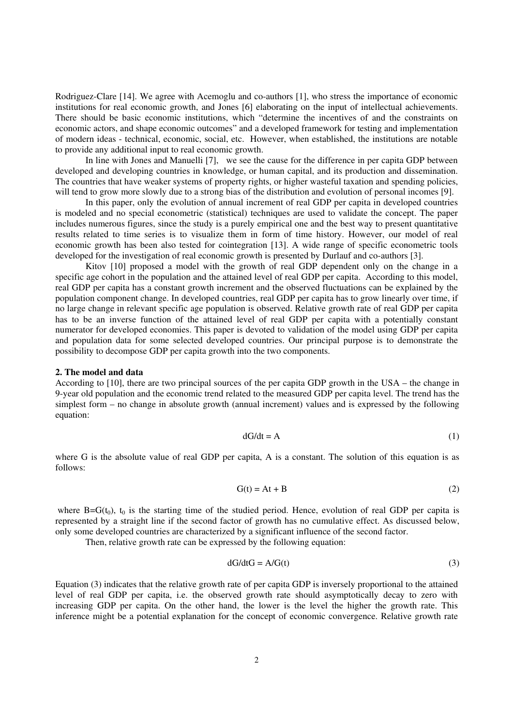Rodriguez-Clare [14]. We agree with Acemoglu and co-authors [1], who stress the importance of economic institutions for real economic growth, and Jones [6] elaborating on the input of intellectual achievements. There should be basic economic institutions, which "determine the incentives of and the constraints on economic actors, and shape economic outcomes" and a developed framework for testing and implementation of modern ideas - technical, economic, social, etc. However, when established, the institutions are notable to provide any additional input to real economic growth.

In line with Jones and Manuelli [7], we see the cause for the difference in per capita GDP between developed and developing countries in knowledge, or human capital, and its production and dissemination. The countries that have weaker systems of property rights, or higher wasteful taxation and spending policies, will tend to grow more slowly due to a strong bias of the distribution and evolution of personal incomes [9].

In this paper, only the evolution of annual increment of real GDP per capita in developed countries is modeled and no special econometric (statistical) techniques are used to validate the concept. The paper includes numerous figures, since the study is a purely empirical one and the best way to present quantitative results related to time series is to visualize them in form of time history. However, our model of real economic growth has been also tested for cointegration [13]. A wide range of specific econometric tools developed for the investigation of real economic growth is presented by Durlauf and co-authors [3].

 Kitov [10] proposed a model with the growth of real GDP dependent only on the change in a specific age cohort in the population and the attained level of real GDP per capita. According to this model, real GDP per capita has a constant growth increment and the observed fluctuations can be explained by the population component change. In developed countries, real GDP per capita has to grow linearly over time, if no large change in relevant specific age population is observed. Relative growth rate of real GDP per capita has to be an inverse function of the attained level of real GDP per capita with a potentially constant numerator for developed economies. This paper is devoted to validation of the model using GDP per capita and population data for some selected developed countries. Our principal purpose is to demonstrate the possibility to decompose GDP per capita growth into the two components.

#### **2. The model and data**

According to [10], there are two principal sources of the per capita GDP growth in the USA – the change in 9-year old population and the economic trend related to the measured GDP per capita level. The trend has the simplest form – no change in absolute growth (annual increment) values and is expressed by the following equation:

$$
dG/dt = A \tag{1}
$$

where G is the absolute value of real GDP per capita, A is a constant. The solution of this equation is as follows:

$$
G(t) = At + B \tag{2}
$$

where  $B=G(t_0)$ ,  $t_0$  is the starting time of the studied period. Hence, evolution of real GDP per capita is represented by a straight line if the second factor of growth has no cumulative effect. As discussed below, only some developed countries are characterized by a significant influence of the second factor.

Then, relative growth rate can be expressed by the following equation:

$$
dG/dtG = A/G(t) \tag{3}
$$

Equation (3) indicates that the relative growth rate of per capita GDP is inversely proportional to the attained level of real GDP per capita, i.e. the observed growth rate should asymptotically decay to zero with increasing GDP per capita. On the other hand, the lower is the level the higher the growth rate. This inference might be a potential explanation for the concept of economic convergence. Relative growth rate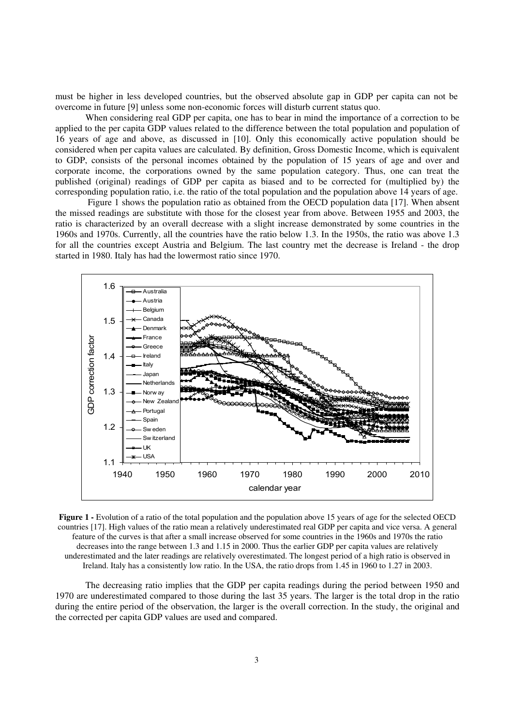must be higher in less developed countries, but the observed absolute gap in GDP per capita can not be overcome in future [9] unless some non-economic forces will disturb current status quo.

When considering real GDP per capita, one has to bear in mind the importance of a correction to be applied to the per capita GDP values related to the difference between the total population and population of 16 years of age and above, as discussed in [10]. Only this economically active population should be considered when per capita values are calculated. By definition, Gross Domestic Income, which is equivalent to GDP, consists of the personal incomes obtained by the population of 15 years of age and over and corporate income, the corporations owned by the same population category. Thus, one can treat the published (original) readings of GDP per capita as biased and to be corrected for (multiplied by) the corresponding population ratio, i.e. the ratio of the total population and the population above 14 years of age.

 Figure 1 shows the population ratio as obtained from the OECD population data [17]. When absent the missed readings are substitute with those for the closest year from above. Between 1955 and 2003, the ratio is characterized by an overall decrease with a slight increase demonstrated by some countries in the 1960s and 1970s. Currently, all the countries have the ratio below 1.3. In the 1950s, the ratio was above 1.3 for all the countries except Austria and Belgium. The last country met the decrease is Ireland - the drop started in 1980. Italy has had the lowermost ratio since 1970.



**Figure 1 -** Evolution of a ratio of the total population and the population above 15 years of age for the selected OECD countries [17]. High values of the ratio mean a relatively underestimated real GDP per capita and vice versa. A general feature of the curves is that after a small increase observed for some countries in the 1960s and 1970s the ratio decreases into the range between 1.3 and 1.15 in 2000. Thus the earlier GDP per capita values are relatively underestimated and the later readings are relatively overestimated. The longest period of a high ratio is observed in Ireland. Italy has a consistently low ratio. In the USA, the ratio drops from 1.45 in 1960 to 1.27 in 2003.

The decreasing ratio implies that the GDP per capita readings during the period between 1950 and 1970 are underestimated compared to those during the last 35 years. The larger is the total drop in the ratio during the entire period of the observation, the larger is the overall correction. In the study, the original and the corrected per capita GDP values are used and compared.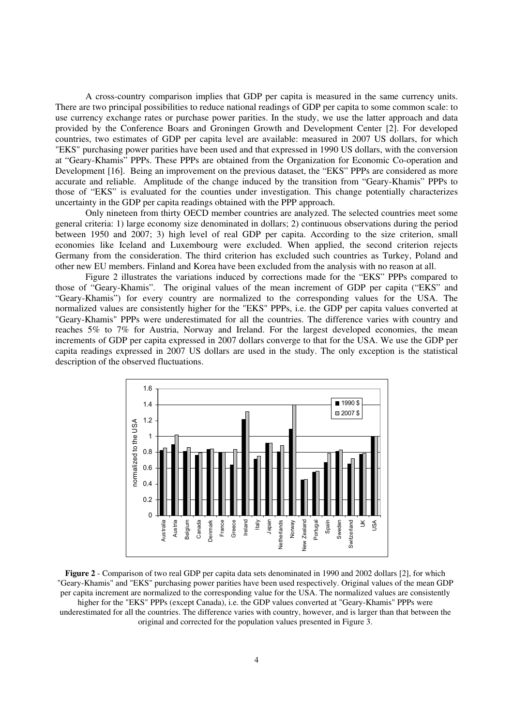A cross-country comparison implies that GDP per capita is measured in the same currency units. There are two principal possibilities to reduce national readings of GDP per capita to some common scale: to use currency exchange rates or purchase power parities. In the study, we use the latter approach and data provided by the Conference Boars and Groningen Growth and Development Center [2]. For developed countries, two estimates of GDP per capita level are available: measured in 2007 US dollars, for which "EKS" purchasing power parities have been used and that expressed in 1990 US dollars, with the conversion at "Geary-Khamis" PPPs. These PPPs are obtained from the Organization for Economic Co-operation and Development [16]. Being an improvement on the previous dataset, the "EKS" PPPs are considered as more accurate and reliable. Amplitude of the change induced by the transition from "Geary-Khamis" PPPs to those of "EKS" is evaluated for the counties under investigation. This change potentially characterizes uncertainty in the GDP per capita readings obtained with the PPP approach.

Only nineteen from thirty OECD member countries are analyzed. The selected countries meet some general criteria: 1) large economy size denominated in dollars; 2) continuous observations during the period between 1950 and 2007; 3) high level of real GDP per capita. According to the size criterion, small economies like Iceland and Luxembourg were excluded. When applied, the second criterion rejects Germany from the consideration. The third criterion has excluded such countries as Turkey, Poland and other new EU members. Finland and Korea have been excluded from the analysis with no reason at all.

Figure 2 illustrates the variations induced by corrections made for the "EKS" PPPs compared to those of "Geary-Khamis". The original values of the mean increment of GDP per capita ("EKS" and "Geary-Khamis") for every country are normalized to the corresponding values for the USA. The normalized values are consistently higher for the "EKS" PPPs, i.e. the GDP per capita values converted at "Geary-Khamis" PPPs were underestimated for all the countries. The difference varies with country and reaches 5% to 7% for Austria, Norway and Ireland. For the largest developed economies, the mean increments of GDP per capita expressed in 2007 dollars converge to that for the USA. We use the GDP per capita readings expressed in 2007 US dollars are used in the study. The only exception is the statistical description of the observed fluctuations.



**Figure 2** - Comparison of two real GDP per capita data sets denominated in 1990 and 2002 dollars [2], for which "Geary-Khamis" and "EKS" purchasing power parities have been used respectively. Original values of the mean GDP per capita increment are normalized to the corresponding value for the USA. The normalized values are consistently higher for the "EKS" PPPs (except Canada), i.e. the GDP values converted at "Geary-Khamis" PPPs were underestimated for all the countries. The difference varies with country, however, and is larger than that between the original and corrected for the population values presented in Figure 3.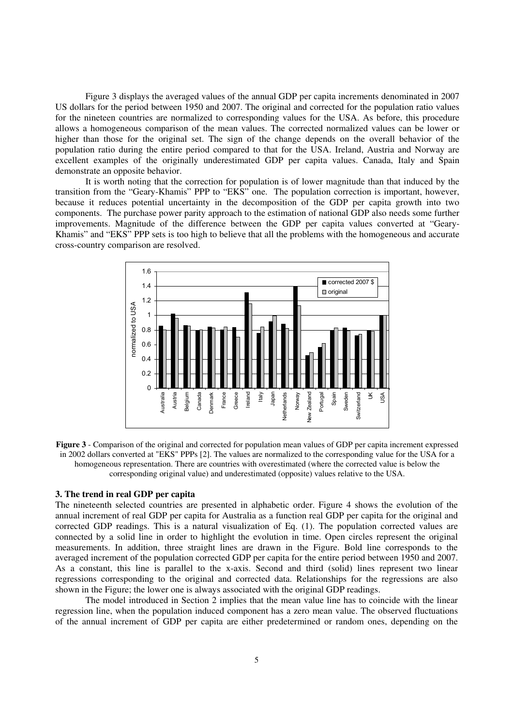Figure 3 displays the averaged values of the annual GDP per capita increments denominated in 2007 US dollars for the period between 1950 and 2007. The original and corrected for the population ratio values for the nineteen countries are normalized to corresponding values for the USA. As before, this procedure allows a homogeneous comparison of the mean values. The corrected normalized values can be lower or higher than those for the original set. The sign of the change depends on the overall behavior of the population ratio during the entire period compared to that for the USA. Ireland, Austria and Norway are excellent examples of the originally underestimated GDP per capita values. Canada, Italy and Spain demonstrate an opposite behavior.

It is worth noting that the correction for population is of lower magnitude than that induced by the transition from the "Geary-Khamis" PPP to "EKS" one. The population correction is important, however, because it reduces potential uncertainty in the decomposition of the GDP per capita growth into two components. The purchase power parity approach to the estimation of national GDP also needs some further improvements. Magnitude of the difference between the GDP per capita values converted at "Geary-Khamis" and "EKS" PPP sets is too high to believe that all the problems with the homogeneous and accurate cross-country comparison are resolved.



**Figure 3** - Comparison of the original and corrected for population mean values of GDP per capita increment expressed in 2002 dollars converted at "EKS" PPPs [2]. The values are normalized to the corresponding value for the USA for a homogeneous representation. There are countries with overestimated (where the corrected value is below the corresponding original value) and underestimated (opposite) values relative to the USA.

# **3. The trend in real GDP per capita**

The nineteenth selected countries are presented in alphabetic order. Figure 4 shows the evolution of the annual increment of real GDP per capita for Australia as a function real GDP per capita for the original and corrected GDP readings. This is a natural visualization of Eq. (1). The population corrected values are connected by a solid line in order to highlight the evolution in time. Open circles represent the original measurements. In addition, three straight lines are drawn in the Figure. Bold line corresponds to the averaged increment of the population corrected GDP per capita for the entire period between 1950 and 2007. As a constant, this line is parallel to the x-axis. Second and third (solid) lines represent two linear regressions corresponding to the original and corrected data. Relationships for the regressions are also shown in the Figure; the lower one is always associated with the original GDP readings.

The model introduced in Section 2 implies that the mean value line has to coincide with the linear regression line, when the population induced component has a zero mean value. The observed fluctuations of the annual increment of GDP per capita are either predetermined or random ones, depending on the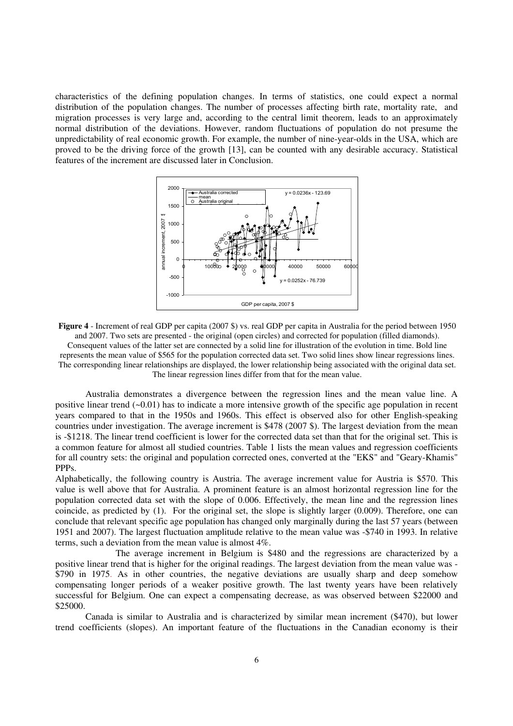characteristics of the defining population changes. In terms of statistics, one could expect a normal distribution of the population changes. The number of processes affecting birth rate, mortality rate, and migration processes is very large and, according to the central limit theorem, leads to an approximately normal distribution of the deviations. However, random fluctuations of population do not presume the unpredictability of real economic growth. For example, the number of nine-year-olds in the USA, which are proved to be the driving force of the growth [13], can be counted with any desirable accuracy. Statistical features of the increment are discussed later in Conclusion.



**Figure 4** - Increment of real GDP per capita (2007 \$) vs. real GDP per capita in Australia for the period between 1950 and 2007. Two sets are presented - the original (open circles) and corrected for population (filled diamonds). Consequent values of the latter set are connected by a solid line for illustration of the evolution in time. Bold line represents the mean value of \$565 for the population corrected data set. Two solid lines show linear regressions lines. The corresponding linear relationships are displayed, the lower relationship being associated with the original data set. The linear regression lines differ from that for the mean value.

Australia demonstrates a divergence between the regression lines and the mean value line. A positive linear trend (~0.01) has to indicate a more intensive growth of the specific age population in recent years compared to that in the 1950s and 1960s. This effect is observed also for other English-speaking countries under investigation. The average increment is \$478 (2007 \$). The largest deviation from the mean is -\$1218. The linear trend coefficient is lower for the corrected data set than that for the original set. This is a common feature for almost all studied countries. Table 1 lists the mean values and regression coefficients for all country sets: the original and population corrected ones, converted at the "EKS" and "Geary-Khamis" PPPs.

Alphabetically, the following country is Austria. The average increment value for Austria is \$570. This value is well above that for Australia. A prominent feature is an almost horizontal regression line for the population corrected data set with the slope of 0.006. Effectively, the mean line and the regression lines coincide, as predicted by (1). For the original set, the slope is slightly larger (0.009). Therefore, one can conclude that relevant specific age population has changed only marginally during the last 57 years (between 1951 and 2007). The largest fluctuation amplitude relative to the mean value was -\$740 in 1993. In relative terms, such a deviation from the mean value is almost 4%.

 The average increment in Belgium is \$480 and the regressions are characterized by a positive linear trend that is higher for the original readings. The largest deviation from the mean value was - \$790 in 1975. As in other countries, the negative deviations are usually sharp and deep somehow compensating longer periods of a weaker positive growth. The last twenty years have been relatively successful for Belgium. One can expect a compensating decrease, as was observed between \$22000 and \$25000.

Canada is similar to Australia and is characterized by similar mean increment (\$470), but lower trend coefficients (slopes). An important feature of the fluctuations in the Canadian economy is their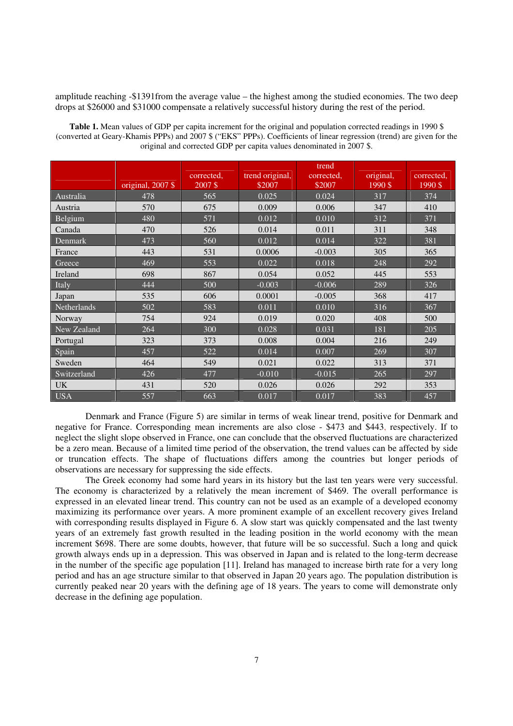amplitude reaching -\$1391from the average value – the highest among the studied economies. The two deep drops at \$26000 and \$31000 compensate a relatively successful history during the rest of the period.

|             | original, 2007 \$ | corrected,<br>2007\$ | trend original,<br>\$2007 | trend<br>corrected,<br>\$2007 | original,<br>1990\$ | corrected,<br>1990\$ |
|-------------|-------------------|----------------------|---------------------------|-------------------------------|---------------------|----------------------|
| Australia   | 478               | 565                  | 0.025                     | 0.024                         | 317                 | 374                  |
| Austria     | 570               | 675                  | 0.009                     | 0.006                         | 347                 | 410                  |
| Belgium     | 480               | 571                  | 0.012                     | 0.010                         | 312                 | 371                  |
| Canada      | 470               | 526                  | 0.014                     | 0.011                         | 311                 | 348                  |
| Denmark     | 473               | 560                  | 0.012                     | 0.014                         | 322                 | 381                  |
| France      | 443               | 531                  | 0.0006                    | $-0.003$                      | 305                 | 365                  |
| Greece      | 469               | 553                  | 0.022                     | 0.018                         | 248                 | 292                  |
| Ireland     | 698               | 867                  | 0.054                     | 0.052                         | 445                 | 553                  |
| Italy       | 444               | 500                  | $-0.003$                  | $-0.006$                      | 289                 | 326                  |
| Japan       | 535               | 606                  | 0.0001                    | $-0.005$                      | 368                 | 417                  |
| Netherlands | 502               | 583                  | 0.011                     | 0.010                         | 316                 | 367                  |
| Norway      | 754               | 924                  | 0.019                     | 0.020                         | 408                 | 500                  |
| New Zealand | 264               | 300                  | 0.028                     | 0.031                         | 181                 | 205                  |
| Portugal    | 323               | 373                  | 0.008                     | 0.004                         | 216                 | 249                  |
| Spain       | 457               | 522                  | 0.014                     | 0.007                         | 269                 | 307                  |
| Sweden      | 464               | 549                  | 0.021                     | 0.022                         | 313                 | 371                  |
| Switzerland | 426               | 477                  | $-0.010$                  | $-0.015$                      | 265                 | 297                  |
| <b>UK</b>   | 431               | 520                  | 0.026                     | 0.026                         | 292                 | 353                  |
| <b>USA</b>  | 557               | 663                  | 0.017                     | 0.017                         | 383                 | 457                  |

Table 1. Mean values of GDP per capita increment for the original and population corrected readings in 1990 \$ (converted at Geary-Khamis PPPs) and 2007 \$ ("EKS" PPPs). Coefficients of linear regression (trend) are given for the original and corrected GDP per capita values denominated in 2007 \$.

 Denmark and France (Figure 5) are similar in terms of weak linear trend, positive for Denmark and negative for France. Corresponding mean increments are also close - \$473 and \$443, respectively. If to neglect the slight slope observed in France, one can conclude that the observed fluctuations are characterized be a zero mean. Because of a limited time period of the observation, the trend values can be affected by side or truncation effects. The shape of fluctuations differs among the countries but longer periods of observations are necessary for suppressing the side effects.

 The Greek economy had some hard years in its history but the last ten years were very successful. The economy is characterized by a relatively the mean increment of \$469. The overall performance is expressed in an elevated linear trend. This country can not be used as an example of a developed economy maximizing its performance over years. A more prominent example of an excellent recovery gives Ireland with corresponding results displayed in Figure 6. A slow start was quickly compensated and the last twenty years of an extremely fast growth resulted in the leading position in the world economy with the mean increment \$698. There are some doubts, however, that future will be so successful. Such a long and quick growth always ends up in a depression. This was observed in Japan and is related to the long-term decrease in the number of the specific age population [11]. Ireland has managed to increase birth rate for a very long period and has an age structure similar to that observed in Japan 20 years ago. The population distribution is currently peaked near 20 years with the defining age of 18 years. The years to come will demonstrate only decrease in the defining age population.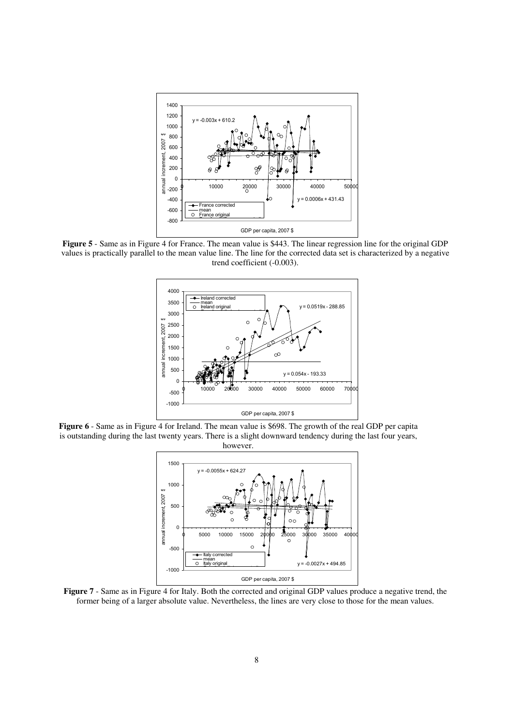

**Figure 5** - Same as in Figure 4 for France. The mean value is \$443. The linear regression line for the original GDP values is practically parallel to the mean value line. The line for the corrected data set is characterized by a negative trend coefficient (-0.003).



**Figure 6** - Same as in Figure 4 for Ireland. The mean value is \$698. The growth of the real GDP per capita is outstanding during the last twenty years. There is a slight downward tendency during the last four years, however.



**Figure 7** - Same as in Figure 4 for Italy. Both the corrected and original GDP values produce a negative trend, the former being of a larger absolute value. Nevertheless, the lines are very close to those for the mean values.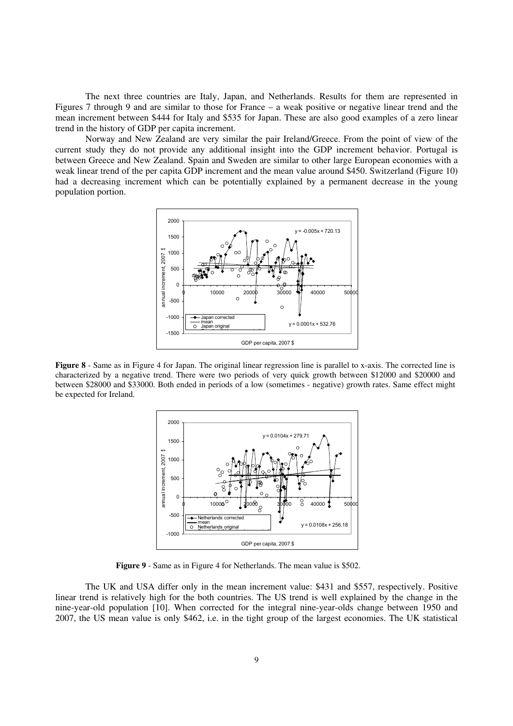The next three countries are Italy, Japan, and Netherlands. Results for them are represented in Figures 7 through 9 and are similar to those for France – a weak positive or negative linear trend and the mean increment between \$444 for Italy and \$535 for Japan. These are also good examples of a zero linear trend in the history of GDP per capita increment.

Norway and New Zealand are very similar the pair Ireland/Greece. From the point of view of the current study they do not provide any additional insight into the GDP increment behavior. Portugal is between Greece and New Zealand. Spain and Sweden are similar to other large European economies with a weak linear trend of the per capita GDP increment and the mean value around \$450. Switzerland (Figure 10) had a decreasing increment which can be potentially explained by a permanent decrease in the young population portion.



**Figure 8** - Same as in Figure 4 for Japan. The original linear regression line is parallel to x-axis. The corrected line is characterized by a negative trend. There were two periods of very quick growth between \$12000 and \$20000 and between \$28000 and \$33000. Both ended in periods of a low (sometimes - negative) growth rates. Same effect might be expected for Ireland.



**Figure 9** - Same as in Figure 4 for Netherlands. The mean value is \$502.

The UK and USA differ only in the mean increment value: \$431 and \$557, respectively. Positive linear trend is relatively high for the both countries. The US trend is well explained by the change in the nine-year-old population [10]. When corrected for the integral nine-year-olds change between 1950 and 2007, the US mean value is only \$462, i.e. in the tight group of the largest economies. The UK statistical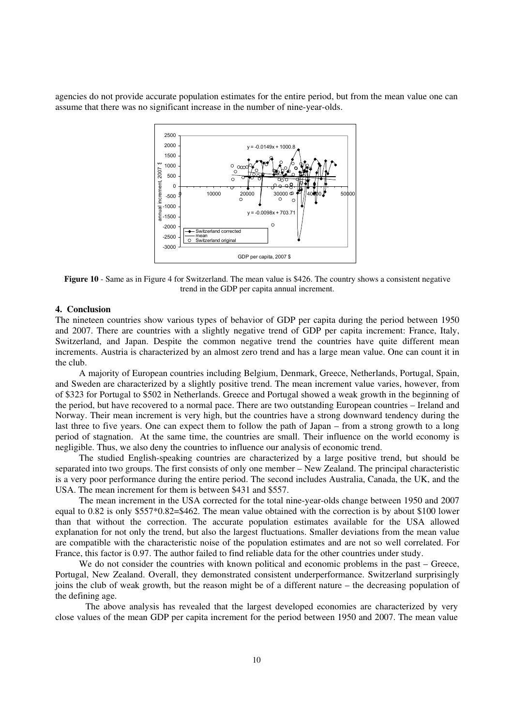agencies do not provide accurate population estimates for the entire period, but from the mean value one can assume that there was no significant increase in the number of nine-year-olds.



**Figure 10** - Same as in Figure 4 for Switzerland. The mean value is \$426. The country shows a consistent negative trend in the GDP per capita annual increment.

# **4. Conclusion**

The nineteen countries show various types of behavior of GDP per capita during the period between 1950 and 2007. There are countries with a slightly negative trend of GDP per capita increment: France, Italy, Switzerland, and Japan. Despite the common negative trend the countries have quite different mean increments. Austria is characterized by an almost zero trend and has a large mean value. One can count it in the club.

A majority of European countries including Belgium, Denmark, Greece, Netherlands, Portugal, Spain, and Sweden are characterized by a slightly positive trend. The mean increment value varies, however, from of \$323 for Portugal to \$502 in Netherlands. Greece and Portugal showed a weak growth in the beginning of the period, but have recovered to a normal pace. There are two outstanding European countries – Ireland and Norway. Their mean increment is very high, but the countries have a strong downward tendency during the last three to five years. One can expect them to follow the path of Japan – from a strong growth to a long period of stagnation. At the same time, the countries are small. Their influence on the world economy is negligible. Thus, we also deny the countries to influence our analysis of economic trend.

The studied English-speaking countries are characterized by a large positive trend, but should be separated into two groups. The first consists of only one member – New Zealand. The principal characteristic is a very poor performance during the entire period. The second includes Australia, Canada, the UK, and the USA. The mean increment for them is between \$431 and \$557.

The mean increment in the USA corrected for the total nine-year-olds change between 1950 and 2007 equal to 0.82 is only \$557\*0.82=\$462. The mean value obtained with the correction is by about \$100 lower than that without the correction. The accurate population estimates available for the USA allowed explanation for not only the trend, but also the largest fluctuations. Smaller deviations from the mean value are compatible with the characteristic noise of the population estimates and are not so well correlated. For France, this factor is 0.97. The author failed to find reliable data for the other countries under study.

We do not consider the countries with known political and economic problems in the past – Greece, Portugal, New Zealand. Overall, they demonstrated consistent underperformance. Switzerland surprisingly joins the club of weak growth, but the reason might be of a different nature – the decreasing population of the defining age.

The above analysis has revealed that the largest developed economies are characterized by very close values of the mean GDP per capita increment for the period between 1950 and 2007. The mean value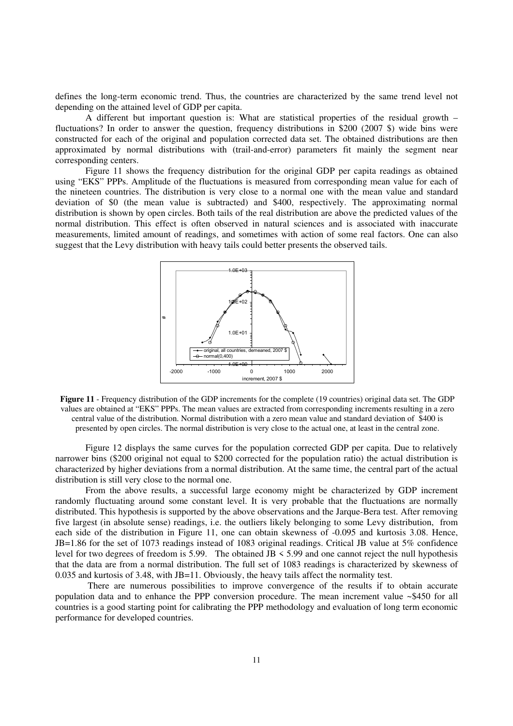defines the long-term economic trend. Thus, the countries are characterized by the same trend level not depending on the attained level of GDP per capita.

A different but important question is: What are statistical properties of the residual growth – fluctuations? In order to answer the question, frequency distributions in \$200 (2007 \$) wide bins were constructed for each of the original and population corrected data set. The obtained distributions are then approximated by normal distributions with (trail-and-error) parameters fit mainly the segment near corresponding centers.

Figure 11 shows the frequency distribution for the original GDP per capita readings as obtained using "EKS" PPPs. Amplitude of the fluctuations is measured from corresponding mean value for each of the nineteen countries. The distribution is very close to a normal one with the mean value and standard deviation of \$0 (the mean value is subtracted) and \$400, respectively. The approximating normal distribution is shown by open circles. Both tails of the real distribution are above the predicted values of the normal distribution. This effect is often observed in natural sciences and is associated with inaccurate measurements, limited amount of readings, and sometimes with action of some real factors. One can also suggest that the Levy distribution with heavy tails could better presents the observed tails.



**Figure 11** - Frequency distribution of the GDP increments for the complete (19 countries) original data set. The GDP values are obtained at "EKS" PPPs. The mean values are extracted from corresponding increments resulting in a zero central value of the distribution. Normal distribution with a zero mean value and standard deviation of \$400 is presented by open circles. The normal distribution is very close to the actual one, at least in the central zone.

Figure 12 displays the same curves for the population corrected GDP per capita. Due to relatively narrower bins (\$200 original not equal to \$200 corrected for the population ratio) the actual distribution is characterized by higher deviations from a normal distribution. At the same time, the central part of the actual distribution is still very close to the normal one.

From the above results, a successful large economy might be characterized by GDP increment randomly fluctuating around some constant level. It is very probable that the fluctuations are normally distributed. This hypothesis is supported by the above observations and the Jarque-Bera test. After removing five largest (in absolute sense) readings, i.e. the outliers likely belonging to some Levy distribution, from each side of the distribution in Figure 11, one can obtain skewness of -0.095 and kurtosis 3.08. Hence, JB=1.86 for the set of 1073 readings instead of 1083 original readings. Critical JB value at 5% confidence level for two degrees of freedom is 5.99. The obtained JB < 5.99 and one cannot reject the null hypothesis that the data are from a normal distribution. The full set of 1083 readings is characterized by skewness of 0.035 and kurtosis of 3.48, with JB=11. Obviously, the heavy tails affect the normality test.

 There are numerous possibilities to improve convergence of the results if to obtain accurate population data and to enhance the PPP conversion procedure. The mean increment value ~\$450 for all countries is a good starting point for calibrating the PPP methodology and evaluation of long term economic performance for developed countries.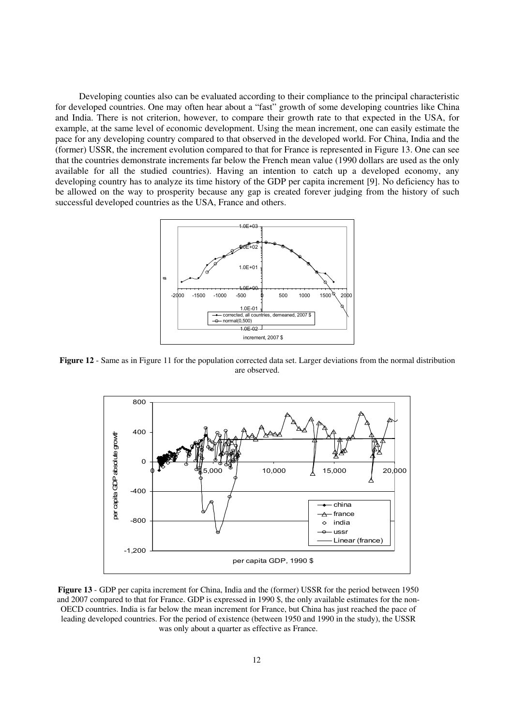Developing counties also can be evaluated according to their compliance to the principal characteristic for developed countries. One may often hear about a "fast" growth of some developing countries like China and India. There is not criterion, however, to compare their growth rate to that expected in the USA, for example, at the same level of economic development. Using the mean increment, one can easily estimate the pace for any developing country compared to that observed in the developed world. For China, India and the (former) USSR, the increment evolution compared to that for France is represented in Figure 13. One can see that the countries demonstrate increments far below the French mean value (1990 dollars are used as the only available for all the studied countries). Having an intention to catch up a developed economy, any developing country has to analyze its time history of the GDP per capita increment [9]. No deficiency has to be allowed on the way to prosperity because any gap is created forever judging from the history of such successful developed countries as the USA, France and others.



**Figure 12** - Same as in Figure 11 for the population corrected data set. Larger deviations from the normal distribution are observed.



**Figure 13** - GDP per capita increment for China, India and the (former) USSR for the period between 1950 and 2007 compared to that for France. GDP is expressed in 1990 \$, the only available estimates for the non-OECD countries. India is far below the mean increment for France, but China has just reached the pace of leading developed countries. For the period of existence (between 1950 and 1990 in the study), the USSR was only about a quarter as effective as France.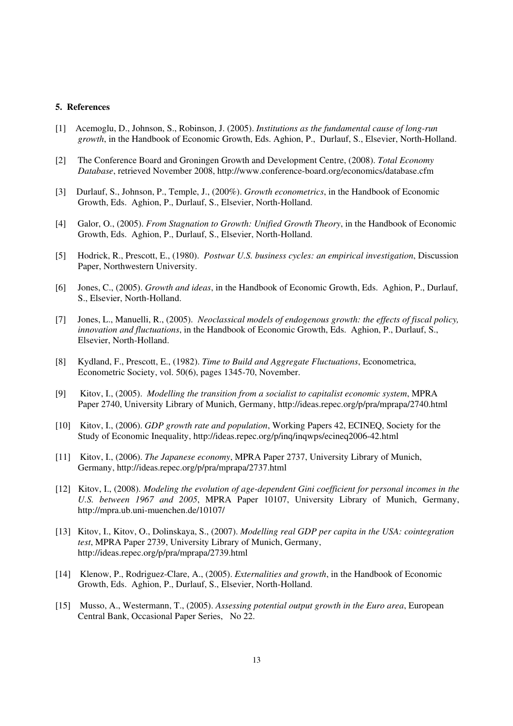## **5. References**

- [1] Acemoglu, D., Johnson, S., Robinson, J. (2005). *Institutions as the fundamental cause of long-run growth*, in the Handbook of Economic Growth, Eds. Aghion, P., Durlauf, S., Elsevier, North-Holland.
- [2] The Conference Board and Groningen Growth and Development Centre, (2008). *Total Economy Database*, retrieved November 2008, http://www.conference-board.org/economics/database.cfm
- [3] Durlauf, S., Johnson, P., Temple, J., (200%). *Growth econometrics*, in the Handbook of Economic Growth, Eds. Aghion, P., Durlauf, S., Elsevier, North-Holland.
- [4] Galor, O., (2005). *From Stagnation to Growth: Unified Growth Theory*, in the Handbook of Economic Growth, Eds. Aghion, P., Durlauf, S., Elsevier, North-Holland.
- [5] Hodrick, R., Prescott, E., (1980). *Postwar U.S. business cycles: an empirical investigation*, Discussion Paper, Northwestern University.
- [6] Jones, C., (2005). *Growth and ideas*, in the Handbook of Economic Growth, Eds. Aghion, P., Durlauf, S., Elsevier, North-Holland.
- [7] Jones, L., Manuelli, R., (2005). *Neoclassical models of endogenous growth: the effects of fiscal policy, innovation and fluctuations*, in the Handbook of Economic Growth, Eds. Aghion, P., Durlauf, S., Elsevier, North-Holland.
- [8] Kydland, F., Prescott, E., (1982). *Time to Build and Aggregate Fluctuations*, Econometrica, Econometric Society, vol. 50(6), pages 1345-70, November.
- [9] Kitov, I., (2005). *Modelling the transition from a socialist to capitalist economic system*, MPRA Paper 2740, University Library of Munich, Germany, http://ideas.repec.org/p/pra/mprapa/2740.html
- [10] Kitov, I., (2006). *GDP growth rate and population*, Working Papers 42, ECINEQ, Society for the Study of Economic Inequality, http://ideas.repec.org/p/inq/inqwps/ecineq2006-42.html
- [11] Kitov, I., (2006). *The Japanese economy*, MPRA Paper 2737, University Library of Munich, Germany, http://ideas.repec.org/p/pra/mprapa/2737.html
- [12] Kitov, I., (2008). *Modeling the evolution of age-dependent Gini coefficient for personal incomes in the U.S. between 1967 and 2005*, MPRA Paper 10107, University Library of Munich, Germany, http://mpra.ub.uni-muenchen.de/10107/
- [13] Kitov, I., Kitov, O., Dolinskaya, S., (2007). *Modelling real GDP per capita in the USA: cointegration test*, MPRA Paper 2739, University Library of Munich, Germany, http://ideas.repec.org/p/pra/mprapa/2739.html
- [14] Klenow, P., Rodriguez-Clare, A., (2005). *Externalities and growth*, in the Handbook of Economic Growth, Eds. Aghion, P., Durlauf, S., Elsevier, North-Holland.
- [15] Musso, A., Westermann, T., (2005). *Assessing potential output growth in the Euro area*, European Central Bank, Occasional Paper Series, No 22.